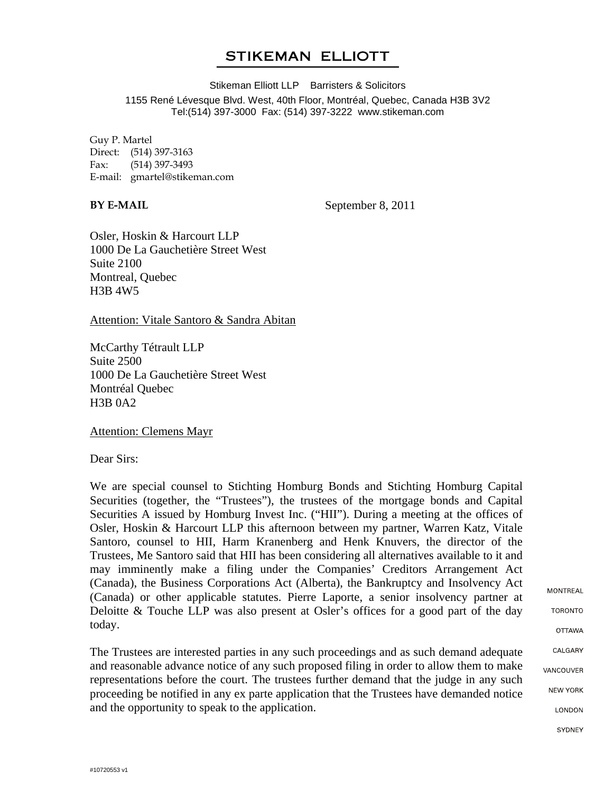## **STIKEMAN ELLIOTT**

Stikeman Elliott LLP Barristers & Solicitors 1155 René Lévesque Blvd. West, 40th Floor, Montréal, Quebec, Canada H3B 3V2 Tel:(514) 397-3000 Fax: (514) 397-3222 www.stikeman.com

Guy P. Martel Direct: (514) 397-3163 Fax: (514) 397-3493 E-mail: gmartel@stikeman.com

**BY E-MAIL** September 8, 2011

Osler, Hoskin & Harcourt LLP 1000 De La Gauchetière Street West Suite 2100 Montreal, Quebec H3B 4W5

Attention: Vitale Santoro & Sandra Abitan

McCarthy Tétrault LLP Suite 2500 1000 De La Gauchetière Street West Montréal Quebec H3B 0A2

Attention: Clemens Mayr

Dear Sirs:

We are special counsel to Stichting Homburg Bonds and Stichting Homburg Capital Securities (together, the "Trustees"), the trustees of the mortgage bonds and Capital Securities A issued by Homburg Invest Inc. ("HII"). During a meeting at the offices of Osler, Hoskin & Harcourt LLP this afternoon between my partner, Warren Katz, Vitale Santoro, counsel to HII, Harm Kranenberg and Henk Knuvers, the director of the Trustees, Me Santoro said that HII has been considering all alternatives available to it and may imminently make a filing under the Companies' Creditors Arrangement Act (Canada), the Business Corporations Act (Alberta), the Bankruptcy and Insolvency Act (Canada) or other applicable statutes. Pierre Laporte, a senior insolvency partner at Deloitte & Touche LLP was also present at Osler's offices for a good part of the day today.

The Trustees are interested parties in any such proceedings and as such demand adequate and reasonable advance notice of any such proposed filing in order to allow them to make representations before the court. The trustees further demand that the judge in any such proceeding be notified in any ex parte application that the Trustees have demanded notice and the opportunity to speak to the application.

**MONTREAL TORONTO OTTAWA** CALGARY VANCOUVER **NEW YORK** LONDON **SYDNEY**